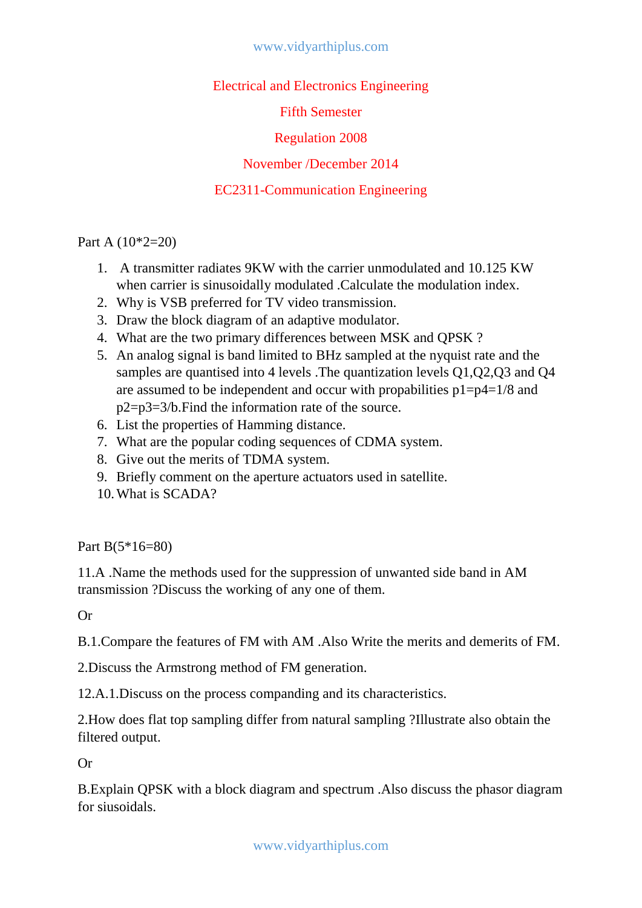Electrical and Electronics Engineering

Fifth Semester

Regulation 2008

November /December 2014

## EC2311-Communication Engineering

Part A (10\*2=20)

- 1. A transmitter radiates 9KW with the carrier unmodulated and 10.125 KW when carrier is sinusoidally modulated .Calculate the modulation index.
- 2. Why is VSB preferred for TV video transmission.
- 3. Draw the block diagram of an adaptive modulator.
- 4. What are the two primary differences between MSK and QPSK ?
- 5. An analog signal is band limited to BHz sampled at the nyquist rate and the samples are quantised into 4 levels .The quantization levels Q1,Q2,Q3 and Q4 are assumed to be independent and occur with propabilities  $p1=p4=1/8$  and p2=p3=3/b.Find the information rate of the source.
- 6. List the properties of Hamming distance.
- 7. What are the popular coding sequences of CDMA system.
- 8. Give out the merits of TDMA system.
- 9. Briefly comment on the aperture actuators used in satellite.
- 10.What is SCADA?

Part B(5\*16=80)

11.A .Name the methods used for the suppression of unwanted side band in AM transmission ?Discuss the working of any one of them.

Or

B.1.Compare the features of FM with AM .Also Write the merits and demerits of FM.

2.Discuss the Armstrong method of FM generation.

12.A.1.Discuss on the process companding and its characteristics.

2.How does flat top sampling differ from natural sampling ?Illustrate also obtain the filtered output.

Or

B.Explain QPSK with a block diagram and spectrum .Also discuss the phasor diagram for siusoidals.